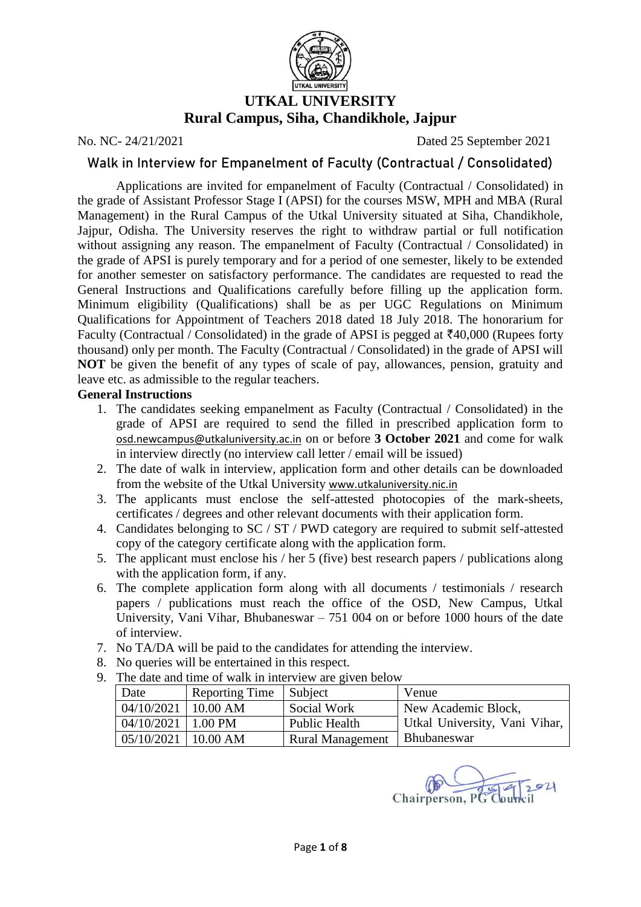

# **UTKAL UNIVERSITY Rural Campus, Siha, Chandikhole, Jajpur**

No. NC- 24/21/2021 Dated 25 September 2021

### **Walk in Interview for Empanelment of Faculty (Contractual / Consolidated)**

Applications are invited for empanelment of Faculty (Contractual / Consolidated) in the grade of Assistant Professor Stage I (APSI) for the courses MSW, MPH and MBA (Rural Management) in the Rural Campus of the Utkal University situated at Siha, Chandikhole, Jajpur, Odisha. The University reserves the right to withdraw partial or full notification without assigning any reason. The empanelment of Faculty (Contractual / Consolidated) in the grade of APSI is purely temporary and for a period of one semester, likely to be extended for another semester on satisfactory performance. The candidates are requested to read the General Instructions and Qualifications carefully before filling up the application form. Minimum eligibility (Qualifications) shall be as per UGC Regulations on Minimum Qualifications for Appointment of Teachers 2018 dated 18 July 2018. The honorarium for Faculty (Contractual / Consolidated) in the grade of APSI is pegged at  $\overline{\tau}40,000$  (Rupees forty thousand) only per month. The Faculty (Contractual / Consolidated) in the grade of APSI will **NOT** be given the benefit of any types of scale of pay, allowances, pension, gratuity and leave etc. as admissible to the regular teachers.

### **General Instructions**

- 1. The candidates seeking empanelment as Faculty (Contractual / Consolidated) in the grade of APSI are required to send the filled in prescribed application form to [osd.newcampus@utkaluniversity.ac.in](mailto:osd.newcampus@utkaluniversity.ac.in) on or before **3 October 2021** and come for walk in interview directly (no interview call letter / email will be issued)
- 2. The date of walk in interview, application form and other details can be downloaded from the website of the Utkal University [www.utkaluniversity.nic.in](http://www.utkaluniversity.nic.in/)
- 3. The applicants must enclose the self-attested photocopies of the mark-sheets, certificates / degrees and other relevant documents with their application form.
- 4. Candidates belonging to SC / ST / PWD category are required to submit self-attested copy of the category certificate along with the application form.
- 5. The applicant must enclose his / her 5 (five) best research papers / publications along with the application form, if any.
- 6. The complete application form along with all documents / testimonials / research papers / publications must reach the office of the OSD, New Campus, Utkal University, Vani Vihar, Bhubaneswar – 751 004 on or before 1000 hours of the date of interview.
- 7. No TA/DA will be paid to the candidates for attending the interview.
- 8. No queries will be entertained in this respect.
- 9. The date and time of walk in interview are given below

| Date                    | <b>Reporting Time</b> | Subject                 | Venue                         |
|-------------------------|-----------------------|-------------------------|-------------------------------|
| $04/10/2021$   10.00 AM |                       | Social Work             | New Academic Block,           |
| $04/10/2021$   1.00 PM  |                       | Public Health           | Utkal University, Vani Vihar, |
| $05/10/2021$   10.00 AM |                       | <b>Rural Management</b> | Bhubaneswar                   |

Chairperson, P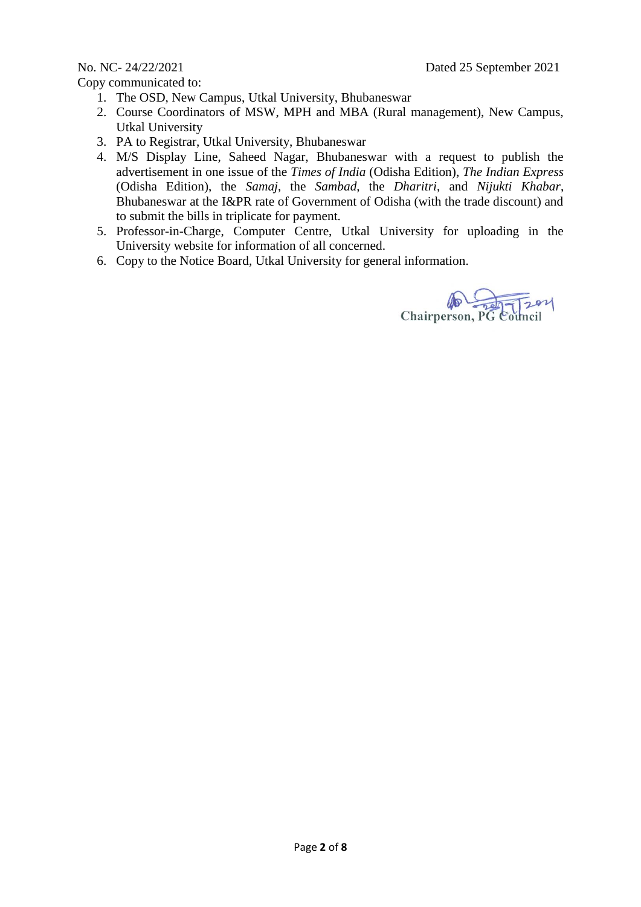Copy communicated to:

- 1. The OSD, New Campus, Utkal University, Bhubaneswar
- 2. Course Coordinators of MSW, MPH and MBA (Rural management), New Campus, Utkal University
- 3. PA to Registrar, Utkal University, Bhubaneswar
- 4. M/S Display Line, Saheed Nagar, Bhubaneswar with a request to publish the advertisement in one issue of the *Times of India* (Odisha Edition), *The Indian Express* (Odisha Edition), the *Samaj*, the *Sambad*, the *Dharitri*, and *Nijukti Khabar*, Bhubaneswar at the I&PR rate of Government of Odisha (with the trade discount) and to submit the bills in triplicate for payment.
- 5. Professor-in-Charge, Computer Centre, Utkal University for uploading in the University website for information of all concerned.
- 6. Copy to the Notice Board, Utkal University for general information.

Chairperson, PG Council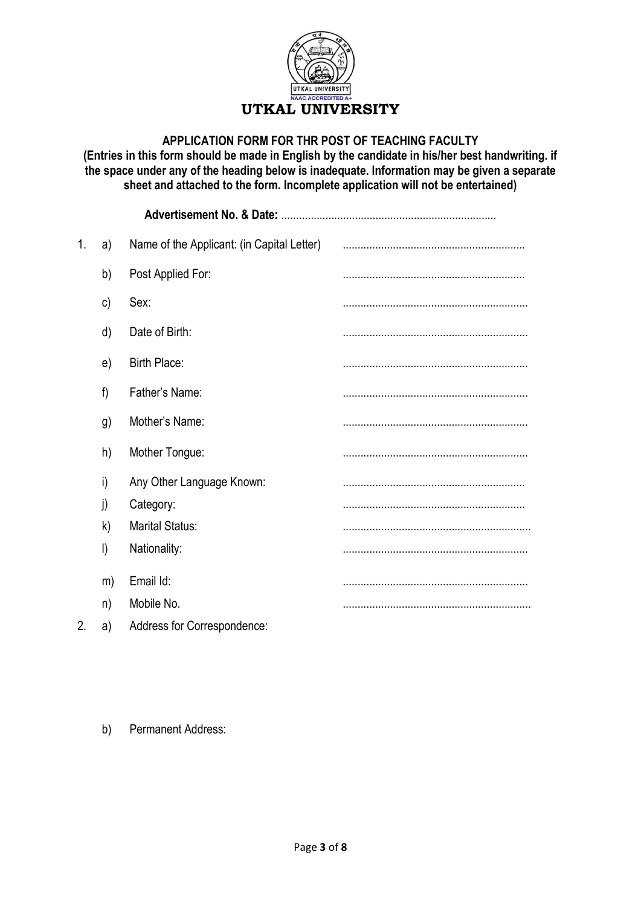

### **APPLICATION FORM FOR THR POST OF TEACHING FACULTY**

**(Entries in this form should be made in English by the candidate in his/her best handwriting. if the space under any of the heading below is inadequate. Information may be given a separate sheet and attached to the form. Incomplete application will not be entertained)**

|    |         | <b>Advertisement No. &amp; Date:</b>       |  |
|----|---------|--------------------------------------------|--|
| 1. | a)      | Name of the Applicant: (in Capital Letter) |  |
|    | b)      | Post Applied For:                          |  |
|    | c)      | Sex:                                       |  |
|    | d)      | Date of Birth:                             |  |
|    | e)      | <b>Birth Place:</b>                        |  |
|    | f)      | Father's Name:                             |  |
|    | g)      | Mother's Name:                             |  |
|    | h)      | Mother Tongue:                             |  |
|    | i)      | Any Other Language Known:                  |  |
|    | j)      | Category:                                  |  |
|    | k)      | <b>Marital Status:</b>                     |  |
|    | $\vert$ | Nationality:                               |  |
|    | m)      | Email Id:                                  |  |
|    | n)      | Mobile No.                                 |  |
| 2. | a)      | Address for Correspondence:                |  |

### b) Permanent Address: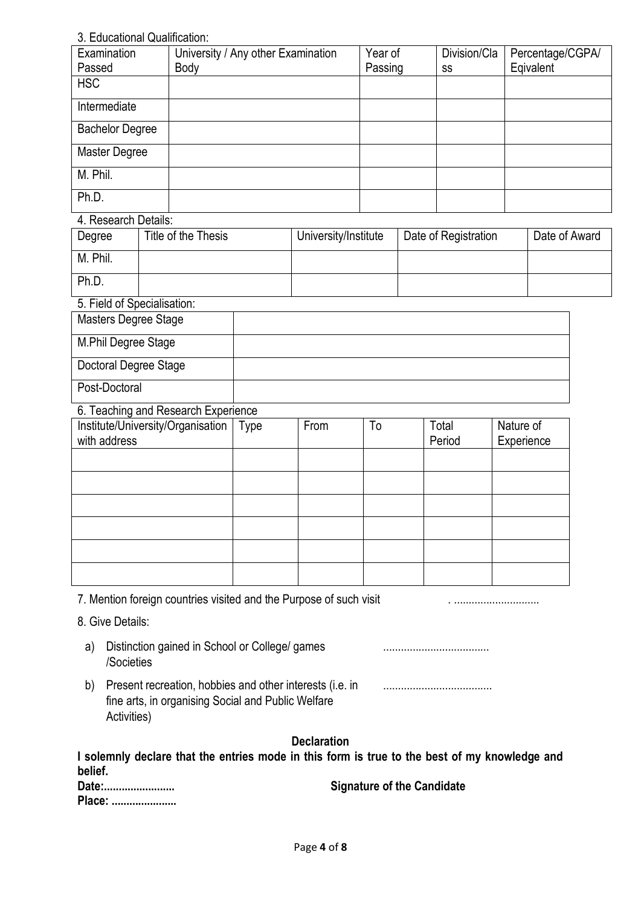# 3. Educational Qualification:

| Examination            | University / Any other Examination | Year of | Division/Cla | Percentage/CGPA/ |
|------------------------|------------------------------------|---------|--------------|------------------|
| Passed                 | Body                               | Passing | SS           | Eqivalent        |
| <b>HSC</b>             |                                    |         |              |                  |
| Intermediate           |                                    |         |              |                  |
| <b>Bachelor Degree</b> |                                    |         |              |                  |
| Master Degree          |                                    |         |              |                  |
| M. Phil.               |                                    |         |              |                  |
| Ph.D.                  |                                    |         |              |                  |

### 4. Research Details:

| Degree                     | Title of the Thesis | University/Institute | Date of Registration | Date of Award |
|----------------------------|---------------------|----------------------|----------------------|---------------|
| M. Phil.                   |                     |                      |                      |               |
| Ph.D.                      |                     |                      |                      |               |
| 5 Field of Specialisation: |                     |                      |                      |               |

| <b>U. Field Of Opecialisation.</b> |  |
|------------------------------------|--|
| Masters Degree Stage               |  |
| M.Phil Degree Stage                |  |
| Doctoral Degree Stage              |  |
| Post-Doctoral                      |  |

### 6. Teaching and Research Experience

| Institute/University/Organisation<br>with address | Type | From | To | Total<br>Period | Nature of<br>Experience |
|---------------------------------------------------|------|------|----|-----------------|-------------------------|
|                                                   |      |      |    |                 |                         |
|                                                   |      |      |    |                 |                         |
|                                                   |      |      |    |                 |                         |
|                                                   |      |      |    |                 |                         |
|                                                   |      |      |    |                 |                         |
|                                                   |      |      |    |                 |                         |

7. Mention foreign countries visited and the Purpose of such visit . .............................

- 8. Give Details:
	- a) Distinction gained in School or College/ games /Societies ....................................
	- b) Present recreation, hobbies and other interests (i.e. in fine arts, in organising Social and Public Welfare Activities) .....................................

# **Declaration**

| I solemnly declare that the entries mode in this form is true to the best of my knowledge and |  |  |  |  |  |  |  |
|-----------------------------------------------------------------------------------------------|--|--|--|--|--|--|--|
| belief.                                                                                       |  |  |  |  |  |  |  |
| - -                                                                                           |  |  |  |  |  |  |  |

| Date:  | <b>Signature of the Candidate</b> |
|--------|-----------------------------------|
| Place: |                                   |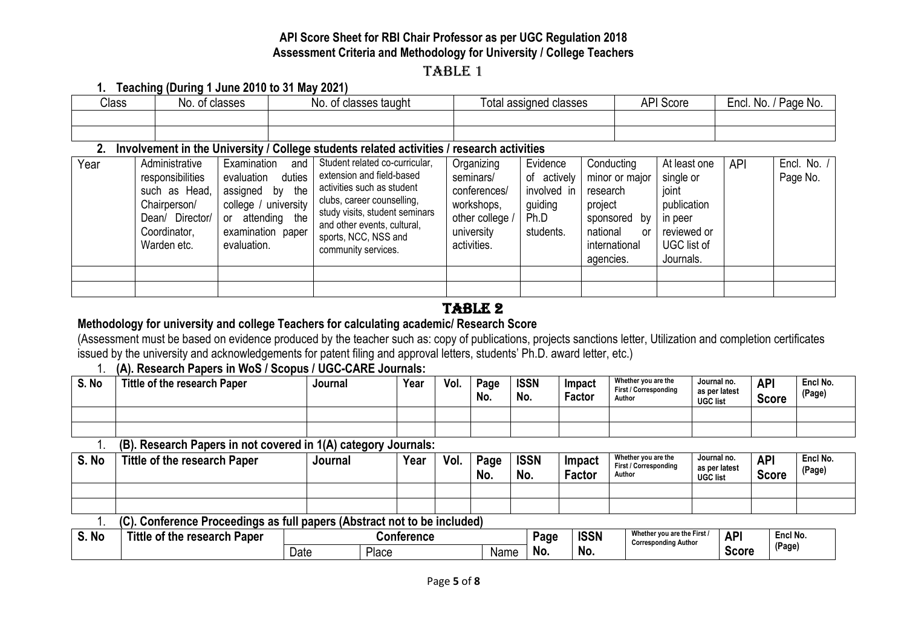# **API Score Sheet for RBI Chair Professor as per UGC Regulation 2018 Assessment Criteria and Methodology for University / College Teachers**

# TABLE 1

### **1. Teaching (During 1 June 2010 to 31 May 2021)**

| Class | of classes<br>No.<br>uass <del>c</del> s | * classes taught<br>No.<br>0t | l otal assigned classes | <b>API Score</b> | `No. .<br>' Page No.<br>Encl. |  |  |
|-------|------------------------------------------|-------------------------------|-------------------------|------------------|-------------------------------|--|--|
|       |                                          |                               |                         |                  |                               |  |  |
|       |                                          |                               |                         |                  |                               |  |  |

### **2. Involvement in the University / College students related activities / research activities**

| Year | Administrative<br>responsibilities<br>such as Head,<br>Chairperson/<br>Dean/ Director/<br>Coordinator,<br>Warden etc. | Examination<br>and<br>duties<br>evaluation<br>the<br>assigned<br>by<br>college / university<br>the<br>attending<br>or<br>examination paper<br>evaluation. | Student related co-curricular,<br>extension and field-based<br>activities such as student<br>clubs, career counselling,<br>study visits, student seminars<br>and other events, cultural,<br>sports, NCC, NSS and<br>community services. | Organizing<br>seminars/<br>conferences/<br>workshops,<br>other college<br>university<br>activities. | Evidence<br>of actively<br>involved in<br>guiding<br>Ph.D<br>students. | Conducting<br>minor or major<br>research<br>project<br>sponsored<br>bv<br>national<br><b>or</b><br>international<br>agencies. | At least one<br>single or<br>joint<br>publication<br>in peer<br>reviewed or<br>UGC list of<br>Journals. | <b>API</b> | Encl. No.<br>Page No. |
|------|-----------------------------------------------------------------------------------------------------------------------|-----------------------------------------------------------------------------------------------------------------------------------------------------------|-----------------------------------------------------------------------------------------------------------------------------------------------------------------------------------------------------------------------------------------|-----------------------------------------------------------------------------------------------------|------------------------------------------------------------------------|-------------------------------------------------------------------------------------------------------------------------------|---------------------------------------------------------------------------------------------------------|------------|-----------------------|
|      |                                                                                                                       |                                                                                                                                                           |                                                                                                                                                                                                                                         |                                                                                                     |                                                                        |                                                                                                                               |                                                                                                         |            |                       |
|      |                                                                                                                       |                                                                                                                                                           |                                                                                                                                                                                                                                         |                                                                                                     |                                                                        |                                                                                                                               |                                                                                                         |            |                       |

# TABLE 2

# **Methodology for university and college Teachers for calculating academic/ Research Score**

(Assessment must be based on evidence produced by the teacher such as: copy of publications, projects sanctions letter, Utilization and completion certificates issued by the university and acknowledgements for patent filing and approval letters, students' Ph.D. award letter, etc.)

# 1. **(A). Research Papers in WoS / Scopus / UGC-CARE Journals:**

| S. No | Tittle of the research Paper | Journal | Year | Vol. | Page<br>No. | <b>ISSN</b><br>No. | Impact<br>Factor | Whether you are the<br><b>First / Corresponding</b><br>Author | Journal no.<br>as per latest<br><b>UGC list</b> | <b>API</b><br><b>Score</b> | Encl No.<br>(Page) |
|-------|------------------------------|---------|------|------|-------------|--------------------|------------------|---------------------------------------------------------------|-------------------------------------------------|----------------------------|--------------------|
|       |                              |         |      |      |             |                    |                  |                                                               |                                                 |                            |                    |
|       |                              |         |      |      |             |                    |                  |                                                               |                                                 |                            |                    |

### 1. **(B). Research Papers in not covered in 1(A) category Journals:**

| S. No  | Tittle of the research Paper                                             | Journal | Year       | Vol. | Page<br>No. | <b>ISSN</b><br>No. | Impact<br><b>Factor</b> | Whether vou are the<br>First / Corresponding<br>Author | Journal no.<br>as per latest<br><b>UGC list</b> | <b>API</b><br><b>Score</b> | Encl No.<br>(Page) |
|--------|--------------------------------------------------------------------------|---------|------------|------|-------------|--------------------|-------------------------|--------------------------------------------------------|-------------------------------------------------|----------------------------|--------------------|
|        |                                                                          |         |            |      |             |                    |                         |                                                        |                                                 |                            |                    |
|        |                                                                          |         |            |      |             |                    |                         |                                                        |                                                 |                            |                    |
|        | (C). Conference Proceedings as full papers (Abstract not to be included) |         |            |      |             |                    |                         |                                                        |                                                 |                            |                    |
| $S$ No | Tittle of the research Paner                                             |         | Conference |      |             | Page               | <b>ISSN</b>             | Whether you are the First /                            | <b>API</b>                                      | Encl No.                   |                    |

| S. No | of the research<br><b>Tittle</b><br><b>Paper</b> |      | Conterence |      | Page | <b>ISSN</b> | Whether you are the First<br>Corresponding Author | <b>AP</b>    | Encl No. |
|-------|--------------------------------------------------|------|------------|------|------|-------------|---------------------------------------------------|--------------|----------|
|       |                                                  | Date | Place      | Name | . No | <b>No</b>   |                                                   | <b>Score</b> | (Page)   |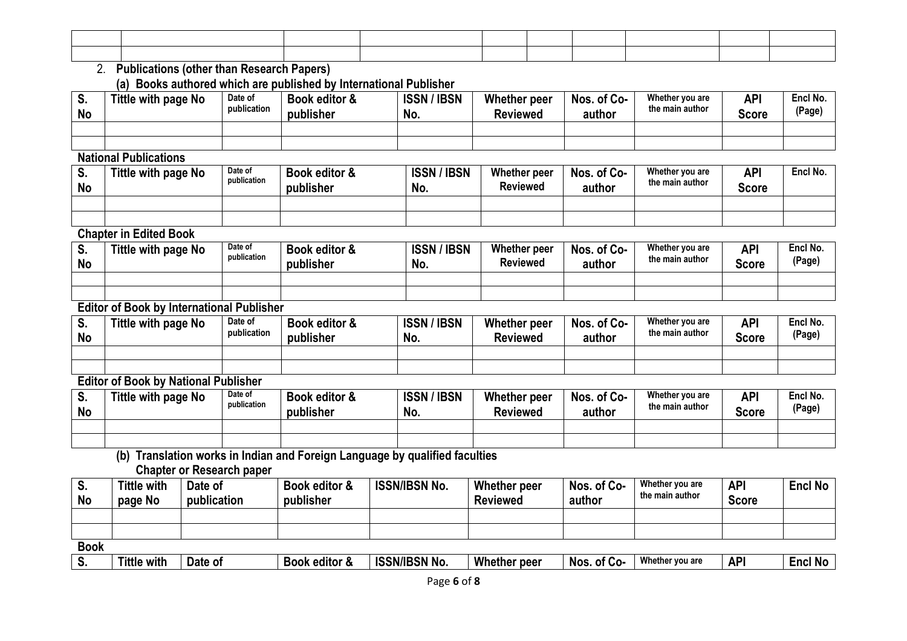| the contract of the contract of the contract of the contract of the contract of the contract of the contract of |  |  |  |  |
|-----------------------------------------------------------------------------------------------------------------|--|--|--|--|
|                                                                                                                 |  |  |  |  |
|                                                                                                                 |  |  |  |  |
|                                                                                                                 |  |  |  |  |
|                                                                                                                 |  |  |  |  |

### 2. **Publications (other than Research Papers) (a) Books authored which are published by International Publisher**

| o.<br><b>No</b> | Tittle with page No | Date of<br>publication | Book editor &<br>publisher | <b>ISSN/IBSN</b><br>No. | Whether peer<br><b>Reviewed</b> | Nos. of Co-<br>author | Whether you are<br>the main author | <b>API</b><br>Score | Encl No.<br>(Page) |
|-----------------|---------------------|------------------------|----------------------------|-------------------------|---------------------------------|-----------------------|------------------------------------|---------------------|--------------------|
|                 |                     |                        |                            |                         |                                 |                       |                                    |                     |                    |
|                 |                     |                        |                            |                         |                                 |                       |                                    |                     |                    |

# **National Publications**

| c<br>o.<br><b>No</b> | Tittle with page No | Date of<br>publication | Book editor &<br>publisher | <b>ISSN/IBSN</b><br>No. | Whether peer<br><b>Reviewed</b> | Nos. of Co-<br>author | Whether you are<br>the main author | <b>API</b><br>Score | Encl No. |
|----------------------|---------------------|------------------------|----------------------------|-------------------------|---------------------------------|-----------------------|------------------------------------|---------------------|----------|
|                      |                     |                        |                            |                         |                                 |                       |                                    |                     |          |
|                      |                     |                        |                            |                         |                                 |                       |                                    |                     |          |

### **Chapter in Edited Book**

| -<br>o.<br><b>No</b> | Tittle with page No | Date of<br>publication | Book editor &<br>publisher | <b>ISSN/IBSN</b><br>No. | Whether peer<br><b>Reviewed</b> | Nos. of Co-<br>author | Whether you are<br>the main author | API<br><b>Score</b> | Encl No.<br>(Page) |
|----------------------|---------------------|------------------------|----------------------------|-------------------------|---------------------------------|-----------------------|------------------------------------|---------------------|--------------------|
|                      |                     |                        |                            |                         |                                 |                       |                                    |                     |                    |
|                      |                     |                        |                            |                         |                                 |                       |                                    |                     |                    |

# **Editor of Book by International Publisher**

| ು.<br><b>No</b> | Tittle with page No | Date of<br>publication | Book editor &<br>publisher | <b>ISSN / IBSN</b><br>No. | Whether peer<br><b>Reviewed</b> | Nos. of Co-<br>author | Whether you are<br>the main author | API<br><b>Score</b> | Encl No.<br>(Page) |
|-----------------|---------------------|------------------------|----------------------------|---------------------------|---------------------------------|-----------------------|------------------------------------|---------------------|--------------------|
|                 |                     |                        |                            |                           |                                 |                       |                                    |                     |                    |
|                 |                     |                        |                            |                           |                                 |                       |                                    |                     |                    |

# **Editor of Book by National Publisher**

| v.<br><b>No</b> | Tittle with page No | Date of<br>publication | Book editor &<br>publisher | <b>ISSN/IBSN</b><br>No. | Whether peer<br><b>Reviewed</b> | Nos. of Co-<br>author | Whether you are<br>the main author | <b>API</b><br><b>Score</b> | Encl No.<br>(Page) |
|-----------------|---------------------|------------------------|----------------------------|-------------------------|---------------------------------|-----------------------|------------------------------------|----------------------------|--------------------|
|                 |                     |                        |                            |                         |                                 |                       |                                    |                            |                    |
|                 |                     |                        |                            |                         |                                 |                       |                                    |                            |                    |

### **(b) Translation works in Indian and Foreign Language by qualified faculties Chapter or Research paper**

| <br><b>No</b> | <b>Tittle with</b><br>page No | Date of<br>publication | Book editor &<br>publisher | <b>ISSN/IBSN No.</b> | Whether peer<br><b>Reviewed</b> | Nos. of Co-<br>author | Whether you are<br>the main author | <b>API</b><br><b>Score</b> | <b>Encl No</b> |
|---------------|-------------------------------|------------------------|----------------------------|----------------------|---------------------------------|-----------------------|------------------------------------|----------------------------|----------------|
|               |                               |                        |                            |                      |                                 |                       |                                    |                            |                |
|               |                               |                        |                            |                      |                                 |                       |                                    |                            |                |
| <b>Book</b>   |                               |                        |                            |                      |                                 |                       |                                    |                            |                |

|  | . . | <b>Tittle</b><br>.<br>with | Date<br>-01 | <b>Book</b><br>editor | <b>ISSN/IBSN</b><br>'No. | Whether<br>ier beer | of Co<br><b>NOS</b><br>∿0∗ | Whethe.<br>er vou are t | ΔPI<br>п. | . N/<br>:nci |
|--|-----|----------------------------|-------------|-----------------------|--------------------------|---------------------|----------------------------|-------------------------|-----------|--------------|
|--|-----|----------------------------|-------------|-----------------------|--------------------------|---------------------|----------------------------|-------------------------|-----------|--------------|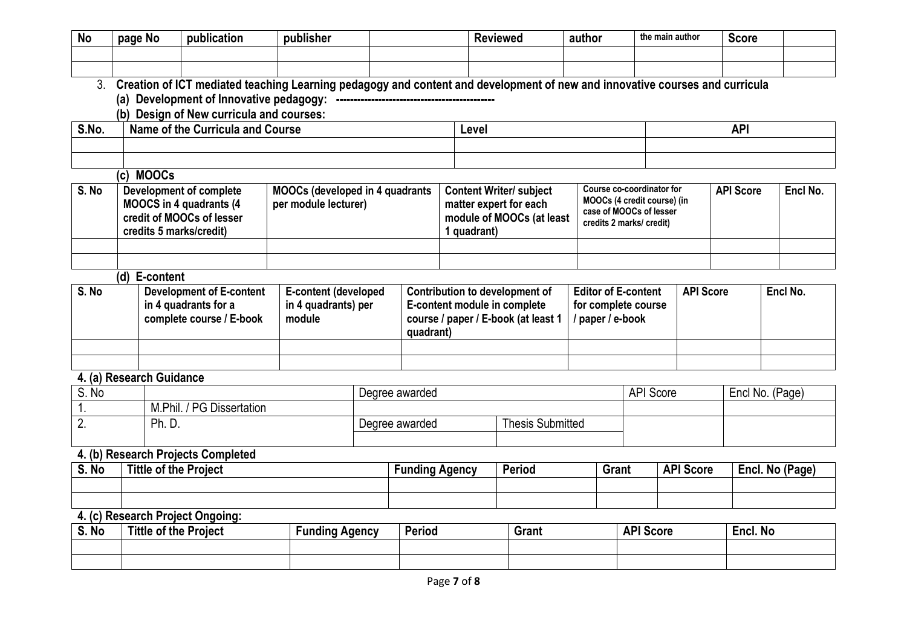| <b>No</b>        | page No                                                                                                | publication                                                                                                                                                                                                | publisher                                                      |                              |             | <b>Reviewed</b>                                          | author           |                                                          | the main author  | <b>Score</b>     |                 |
|------------------|--------------------------------------------------------------------------------------------------------|------------------------------------------------------------------------------------------------------------------------------------------------------------------------------------------------------------|----------------------------------------------------------------|------------------------------|-------------|----------------------------------------------------------|------------------|----------------------------------------------------------|------------------|------------------|-----------------|
|                  |                                                                                                        |                                                                                                                                                                                                            |                                                                |                              |             |                                                          |                  |                                                          |                  |                  |                 |
| 3 <sub>1</sub>   |                                                                                                        |                                                                                                                                                                                                            |                                                                |                              |             |                                                          |                  |                                                          |                  |                  |                 |
|                  |                                                                                                        | Creation of ICT mediated teaching Learning pedagogy and content and development of new and innovative courses and curricula<br>(a) Development of Innovative pedagogy: ----------------------------------- |                                                                |                              |             |                                                          |                  |                                                          |                  |                  |                 |
|                  |                                                                                                        | (b) Design of New curricula and courses:                                                                                                                                                                   |                                                                |                              |             |                                                          |                  |                                                          |                  |                  |                 |
| S.No.            |                                                                                                        | Name of the Curricula and Course                                                                                                                                                                           |                                                                |                              | Level       |                                                          |                  |                                                          |                  | <b>API</b>       |                 |
|                  |                                                                                                        |                                                                                                                                                                                                            |                                                                |                              |             |                                                          |                  |                                                          |                  |                  |                 |
|                  |                                                                                                        |                                                                                                                                                                                                            |                                                                |                              |             |                                                          |                  |                                                          |                  |                  |                 |
|                  | (c) MOOCs                                                                                              |                                                                                                                                                                                                            |                                                                |                              |             |                                                          |                  |                                                          |                  |                  |                 |
| S. No            |                                                                                                        | <b>Development of complete</b><br><b>MOOCS in 4 quadrants (4</b>                                                                                                                                           | <b>MOOCs (developed in 4 quadrants</b><br>per module lecturer) |                              |             | <b>Content Writer/ subject</b><br>matter expert for each |                  | Course co-coordinator for<br>MOOCs (4 credit course) (in |                  | <b>API Score</b> | Encl No.        |
|                  |                                                                                                        | credit of MOOCs of lesser                                                                                                                                                                                  |                                                                |                              |             | module of MOOCs (at least                                |                  | case of MOOCs of lesser<br>credits 2 marks/ credit)      |                  |                  |                 |
|                  | credits 5 marks/credit)                                                                                |                                                                                                                                                                                                            |                                                                |                              | 1 quadrant) |                                                          |                  |                                                          |                  |                  |                 |
|                  |                                                                                                        |                                                                                                                                                                                                            |                                                                |                              |             |                                                          |                  |                                                          |                  |                  |                 |
|                  | (d) E-content                                                                                          |                                                                                                                                                                                                            |                                                                |                              |             |                                                          |                  |                                                          |                  |                  |                 |
| S. No            |                                                                                                        |                                                                                                                                                                                                            |                                                                |                              |             | <b>Contribution to development of</b>                    |                  | <b>Editor of E-content</b>                               | <b>API Score</b> |                  | Encl No.        |
|                  | <b>Development of E-content</b><br>E-content (developed<br>in 4 quadrants for a<br>in 4 quadrants) per |                                                                                                                                                                                                            |                                                                | E-content module in complete |             |                                                          |                  | for complete course                                      |                  |                  |                 |
|                  |                                                                                                        | complete course / E-book                                                                                                                                                                                   | module                                                         |                              |             | course / paper / E-book (at least 1                      | / paper / e-book |                                                          |                  |                  |                 |
|                  |                                                                                                        |                                                                                                                                                                                                            |                                                                | quadrant)                    |             |                                                          |                  |                                                          |                  |                  |                 |
|                  |                                                                                                        |                                                                                                                                                                                                            |                                                                |                              |             |                                                          |                  |                                                          |                  |                  |                 |
|                  | 4. (a) Research Guidance                                                                               |                                                                                                                                                                                                            |                                                                |                              |             |                                                          |                  |                                                          |                  |                  |                 |
| S. No            |                                                                                                        |                                                                                                                                                                                                            |                                                                | Degree awarded               |             |                                                          |                  | <b>API Score</b>                                         |                  |                  | Encl No. (Page) |
| 1.               |                                                                                                        | M.Phil. / PG Dissertation                                                                                                                                                                                  |                                                                |                              |             |                                                          |                  |                                                          |                  |                  |                 |
| $\overline{2}$ . | Ph. D.                                                                                                 |                                                                                                                                                                                                            |                                                                | Degree awarded               |             | <b>Thesis Submitted</b>                                  |                  |                                                          |                  |                  |                 |
|                  |                                                                                                        |                                                                                                                                                                                                            |                                                                |                              |             |                                                          |                  |                                                          |                  |                  |                 |
| S. No            |                                                                                                        | 4. (b) Research Projects Completed                                                                                                                                                                         |                                                                |                              |             | <b>Period</b>                                            |                  | <b>Grant</b>                                             | <b>API Score</b> |                  |                 |
|                  | <b>Tittle of the Project</b>                                                                           |                                                                                                                                                                                                            |                                                                | <b>Funding Agency</b>        |             |                                                          |                  |                                                          |                  |                  | Encl. No (Page) |
|                  |                                                                                                        |                                                                                                                                                                                                            |                                                                |                              |             |                                                          |                  |                                                          |                  |                  |                 |
|                  |                                                                                                        | 4. (c) Research Project Ongoing:                                                                                                                                                                           |                                                                |                              |             |                                                          |                  |                                                          |                  |                  |                 |
| S. No            | <b>Tittle of the Project</b>                                                                           |                                                                                                                                                                                                            | <b>Funding Agency</b>                                          | Period                       |             | <b>Grant</b>                                             |                  | <b>API Score</b>                                         |                  | Encl. No         |                 |
|                  |                                                                                                        |                                                                                                                                                                                                            |                                                                |                              |             |                                                          |                  |                                                          |                  |                  |                 |
|                  |                                                                                                        |                                                                                                                                                                                                            |                                                                |                              |             |                                                          |                  |                                                          |                  |                  |                 |